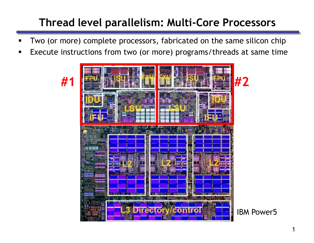# **Thread level parallelism: Multi-Core Processors**

- Two (or more) complete processors, fabricated on the same silicon chip
- Execute instructions from two (or more) programs/threads at same time

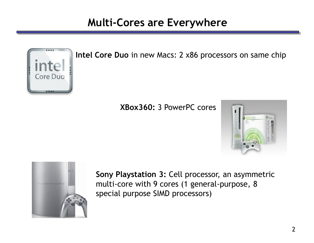#### **Multi-Cores are Everywhere**



**Intel Core Duo** in new Macs: 2 x86 processors on same chip

#### **XBox360:** 3 PowerPC cores





**Sony Playstation 3:** Cell processor, an asymmetric multi-core with 9 cores (1 general-purpose, 8 special purpose SIMD processors)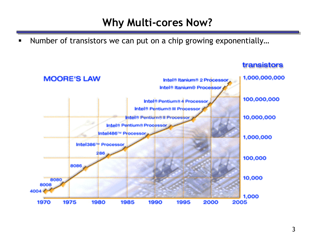#### **Why Multi-cores Now?**

■ Number of transistors we can put on a chip growing exponentially...



#### transistors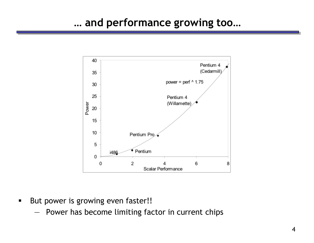

- But power is growing even faster!!
	- Power has become limiting factor in current chips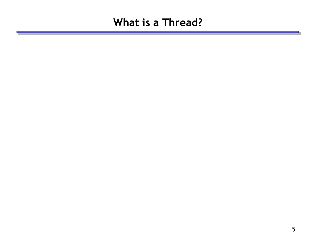#### **What is a Thread?**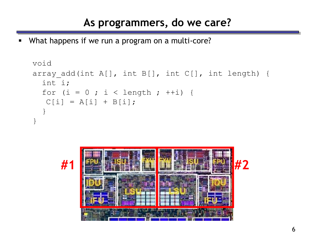### **As programmers, do we care?**

What happens if we run a program on a multi-core?

```
void
array add(int A[], int B[], int C[], int length) {
  int i;
  for (i = 0 ; i < length ; ++i) {
  C[i] = A[i] + B[i];}
}
```
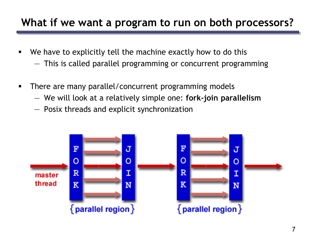## **What if we want a program to run on both processors?**

- We have to explicitly tell the machine exactly how to do this
	- This is called parallel programming or concurrent programming
- **There are many parallel/concurrent programming models** 
	- We will look at a relatively simple one: **fork-join parallelism**
	- Posix threads and explicit synchronization

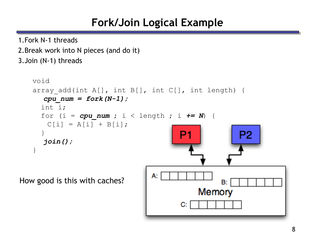## **Fork/Join Logical Example**

1.Fork N-1 threads

2.Break work into N pieces (and do it) 3.Join (N-1) threads void array add(int A[], int B[], int C[], int length) { *cpu\_num = fork(N-1);* int i; for (i =  $cpu$  num ; i < length ; i  $\leftarrow$  N) {  $C[i] = A[i] + B[i];$ } P<sub>2</sub> *join();* } А. How good is this with caches?B: Memory C: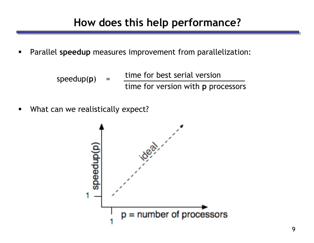- Parallel **speedup** measures improvement from parallelization:
	- time for best serial version time for version with **p** processors speedup(p)
- **What can we realistically expect?**

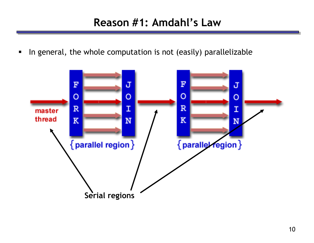#### **Reason #1: Amdahl's Law**

In general, the whole computation is not (easily) parallelizable

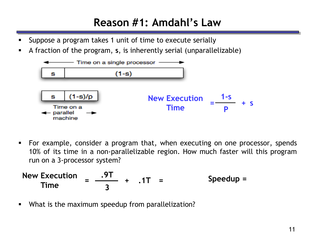## **Reason #1: Amdahl's Law**

- Suppose a program takes 1 unit of time to execute serially
- A fraction of the program, **s**, is inherently serial (unparallelizable)



 For example, consider a program that, when executing on one processor, spends 10% of its time in a non-parallelizable region. How much faster will this program run on a 3-processor system?

New Execution = 
$$
\frac{.9T}{3}
$$
 + .1T = Speedup =

What is the maximum speedup from parallelization?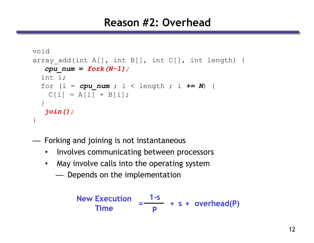#### **Reason #2: Overhead**

```
void
array add(int A[], int B[], int C[], int length) {
  cpu_num = fork(N-1);
  int i;
  for (i = cpu num ; i < length ; i \leftarrow N) {
    C[i] = A[i] + B[i];}
  join();
}
```
— Forking and joining is not instantaneous

- Involves communicating between processors
- May involve calls into the operating system
	- Depends on the implementation

New Execution  
Time 
$$
= \frac{1-s}{p} + s + overhead(P)
$$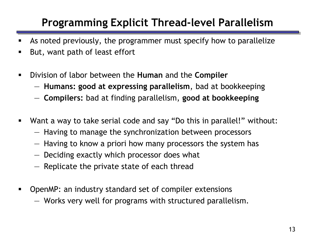# **Programming Explicit Thread-level Parallelism**

- As noted previously, the programmer must specify how to parallelize
- But, want path of least effort
- Division of labor between the **Human** and the **Compiler**
	- **Humans: good at expressing parallelism**, bad at bookkeeping
	- **Compilers:** bad at finding parallelism, **good at bookkeeping**
- Want a way to take serial code and say "Do this in parallel!" without:
	- Having to manage the synchronization between processors
	- Having to know a priori how many processors the system has
	- Deciding exactly which processor does what
	- Replicate the private state of each thread
- OpenMP: an industry standard set of compiler extensions
	- Works very well for programs with structured parallelism.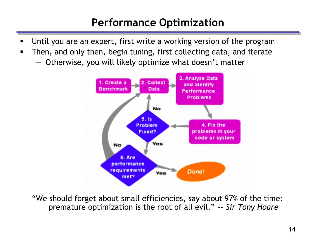## **Performance Optimization**

- Until you are an expert, first write a working version of the program
- Then, and only then, begin tuning, first collecting data, and iterate
	- Otherwise, you will likely optimize what doesn't matter



"We should forget about small efficiencies, say about 97% of the time: premature optimization is the root of all evil." *-- Sir Tony Hoare*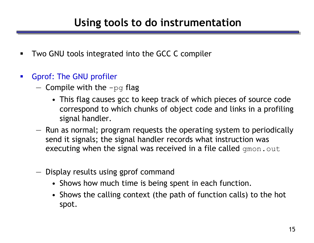- **TWO GNU tools integrated into the GCC C compiler**
- Gprof: The GNU profiler
	- $-$  Compile with the  $-pq$  flag
		- This flag causes gcc to keep track of which pieces of source code correspond to which chunks of object code and links in a profiling signal handler.
	- Run as normal; program requests the operating system to periodically send it signals; the signal handler records what instruction was executing when the signal was received in a file called gmon.out
	- Display results using gprof command
		- Shows how much time is being spent in each function.
		- Shows the calling context (the path of function calls) to the hot spot.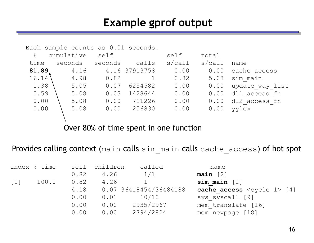#### **Example gprof output**

| Each sample counts as 0.01 seconds. |         |         |               |           |           |                 |  |  |  |  |
|-------------------------------------|---------|---------|---------------|-----------|-----------|-----------------|--|--|--|--|
| $\frac{6}{5}$<br>cumulative         |         | self    |               | self      | total     |                 |  |  |  |  |
| time                                | seconds | seconds | calls         | $s$ /call | $s$ /call | name            |  |  |  |  |
| 81.89                               | 4.16    |         | 4.16 37913758 | 0.00      | 0.00      | cache access    |  |  |  |  |
| 16.14                               | 4.98    | 0.82    |               | 0.82      | 5.08      | sim main        |  |  |  |  |
| 1.38                                | 5.05    | 0.07    | 6254582       | 0.00      | 0.00      | update way list |  |  |  |  |
| 0.59                                | 5.08    | 0.03    | 1428644       | 0.00      | 0.00      | dl1 access fn   |  |  |  |  |
| 0.00                                | 5.08    | 0.00    | 711226        | 0.00      | 0.00      | dl2 access fn   |  |  |  |  |
| 0.00                                | 5.08    | 0.00    | 256830        | 0.00      | 0.00      | yylex           |  |  |  |  |
|                                     |         |         |               |           |           |                 |  |  |  |  |

Over 80% of time spent in one function

Provides calling context (main calls sim main calls cache access) of hot spot

|                   | index % time |      | self children | called                 | name                                       |
|-------------------|--------------|------|---------------|------------------------|--------------------------------------------|
|                   |              | 0.82 | 4.26          | 1/1                    | $main$ [2]                                 |
| $\lceil 1 \rceil$ | 100.0        | 0.82 | 4.26          |                        | sim main $[1]$                             |
|                   |              | 4.18 |               | 0.07 36418454/36484188 | cache access $\langle cycle 1 \rangle [4]$ |
|                   |              | 0.00 | 0.01          | 10/10                  | sys syscall [9]                            |
|                   |              | 0.00 | 0.00          | 2935/2967              | mem translate [16]                         |
|                   |              | 0.00 | 0.00          | 2794/2824              | mem newpage [18]                           |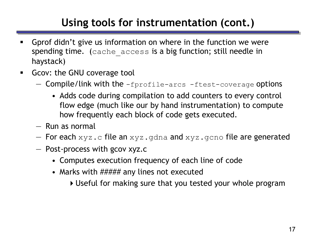# **Using tools for instrumentation (cont.)**

- Gprof didn't give us information on where in the function we were spending time. (cache access is a big function; still needle in haystack)
- **GCOV: the GNU coverage tool** 
	- $-$  Compile/link with the  $-$ fprofile-arcs  $-$ ftest-coverage options
		- Adds code during compilation to add counters to every control flow edge (much like our by hand instrumentation) to compute how frequently each block of code gets executed.
	- Run as normal
	- $-$  For each  $xyz$ .c file an  $xyz$ .gdna and  $xyz$ .gcno file are generated
	- Post-process with gcov xyz.c
		- Computes execution frequency of each line of code
		- Marks with ##### any lines not executed
			- Useful for making sure that you tested your whole program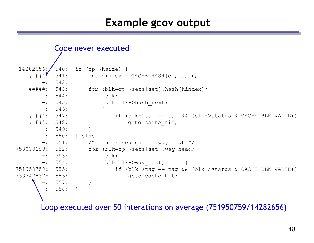#### **Example gcov output**

```
Code never executed
```

```
14282656: 540: if (cp->hsize) {
   \# \# \# \# \ddot{.} 541: int hindex = CACHE HASH(cp, tag);
      -: 542:
   #####: 543: for (blk=cp->sets[set].hash[hindex];
      -: 544: blk;
      -: 545: blk=blk->hash next)
      -: 546: {
   #####: 547: if (blk->tag == tag && (blk->status & CACHE BLK VALID))
   #####: 548: goto cache hit;
      -: 549:-: 550: } else {
      -: 551: \frac{1}{2} /* linear search the way list \frac{1}{2}753030193: 552: for (blk=cp->sets[set].way head;
      -: 553: blk;
      -: 554: blk=blk->way next)
751950759: 555: if (blk->tag == tag && (blk->status & CACHE BLK VALID))
738747537: 556: goto cache hit;
         -: 557: }
          -: 558: }
```
Loop executed over 50 interations on average (751950759/14282656)